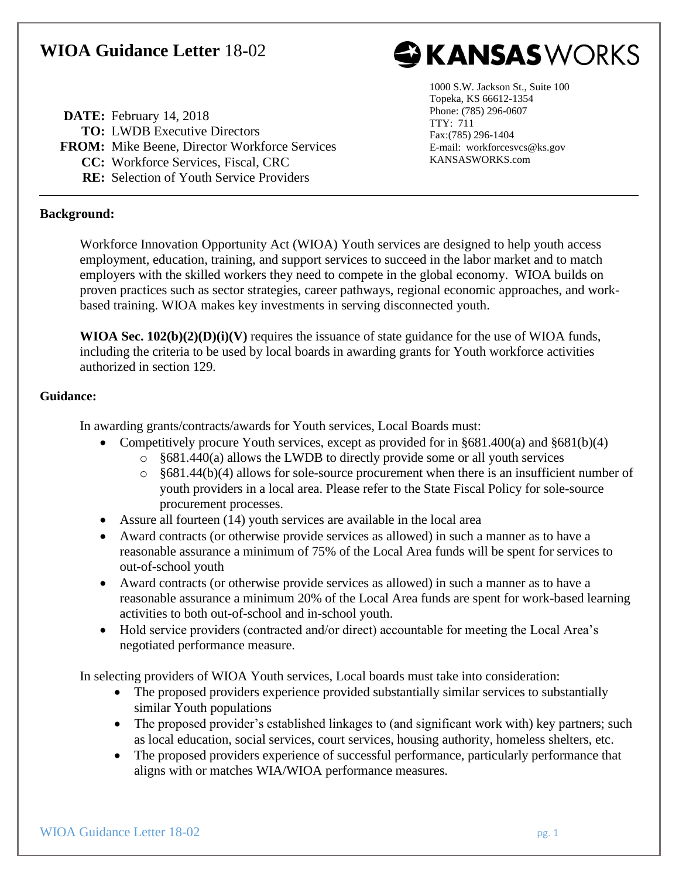## **WIOA Guidance Letter** 18-02



**DATE:** February 14, 2018 **TO:** LWDB Executive Directors **FROM:** Mike Beene, Director Workforce Services **CC:** Workforce Services, Fiscal, CRC **RE:** Selection of Youth Service Providers

1000 S.W. Jackson St., Suite 100 Topeka, KS 66612-1354 Phone: (785) 296-0607 TTY: 711 Fax:(785) 296-1404 E-mail: workforcesvcs@ks.gov KANSASWORKS.com

## **Background:**

Workforce Innovation Opportunity Act (WIOA) Youth services are designed to help youth access employment, education, training, and support services to succeed in the labor market and to match employers with the skilled workers they need to compete in the global economy. WIOA builds on proven practices such as sector strategies, career pathways, regional economic approaches, and workbased training. WIOA makes key investments in serving disconnected youth.

**WIOA Sec. 102(b)(2)(D)(i)(V)** requires the issuance of state guidance for the use of WIOA funds, including the criteria to be used by local boards in awarding grants for Youth workforce activities authorized in section 129.

## **Guidance:**

In awarding grants/contracts/awards for Youth services, Local Boards must:

- Competitively procure Youth services, except as provided for in  $§681.400(a)$  and  $§681(b)(4)$ 
	- o §681.440(a) allows the LWDB to directly provide some or all youth services
	- $\circ$  §681.44(b)(4) allows for sole-source procurement when there is an insufficient number of youth providers in a local area. Please refer to the State Fiscal Policy for sole-source procurement processes.
- Assure all fourteen (14) youth services are available in the local area
- Award contracts (or otherwise provide services as allowed) in such a manner as to have a reasonable assurance a minimum of 75% of the Local Area funds will be spent for services to out-of-school youth
- Award contracts (or otherwise provide services as allowed) in such a manner as to have a reasonable assurance a minimum 20% of the Local Area funds are spent for work-based learning activities to both out-of-school and in-school youth.
- Hold service providers (contracted and/or direct) accountable for meeting the Local Area's negotiated performance measure.

In selecting providers of WIOA Youth services, Local boards must take into consideration:

- The proposed providers experience provided substantially similar services to substantially similar Youth populations
- The proposed provider's established linkages to (and significant work with) key partners; such as local education, social services, court services, housing authority, homeless shelters, etc.
- The proposed providers experience of successful performance, particularly performance that aligns with or matches WIA/WIOA performance measures.